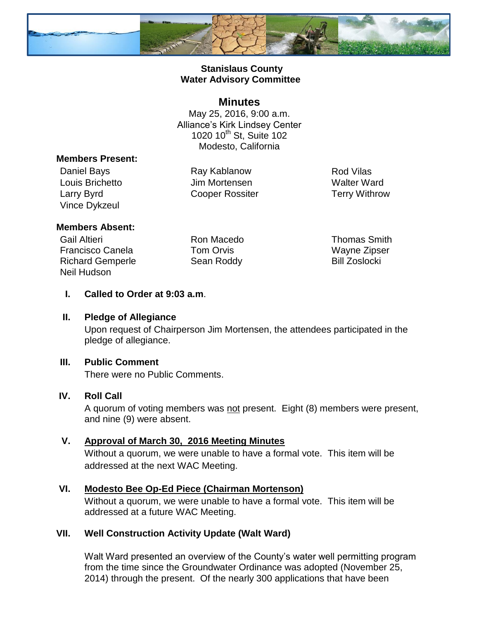

### **Stanislaus County Water Advisory Committee**

#### **Minutes**

May 25, 2016, 9:00 a.m. Alliance's Kirk Lindsey Center 1020 10<sup>th</sup> St, Suite 102 Modesto, California

#### **Members Present:**

Daniel Bays **Ray Kablanow** Ray Kablanow Rod Vilas Louis Brichetto Jim Mortensen Walter Ward Larry Byrd Cooper Rossiter Terry Withrow Vince Dykzeul

#### **Members Absent:**

Gail Altieri Ron Macedo Thomas Smith Francisco Canela Tom Orvis Wayne Zipser Richard Gemperle Sean Roddy Bill Zoslocki Neil Hudson

**I. Called to Order at 9:03 a.m**.

#### **II. Pledge of Allegiance**

Upon request of Chairperson Jim Mortensen, the attendees participated in the pledge of allegiance.

#### **III. Public Comment**

There were no Public Comments.

## **IV. Roll Call**

A quorum of voting members was not present. Eight (8) members were present, and nine (9) were absent.

## **V. Approval of March 30, 2016 Meeting Minutes**

Without a quorum, we were unable to have a formal vote. This item will be addressed at the next WAC Meeting.

## **VI. Modesto Bee Op-Ed Piece (Chairman Mortenson)**

Without a quorum, we were unable to have a formal vote. This item will be addressed at a future WAC Meeting.

## **VII. Well Construction Activity Update (Walt Ward)**

Walt Ward presented an overview of the County's water well permitting program from the time since the Groundwater Ordinance was adopted (November 25, 2014) through the present. Of the nearly 300 applications that have been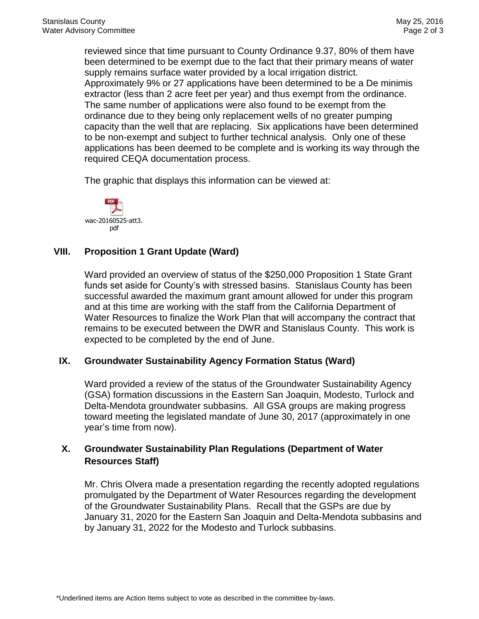reviewed since that time pursuant to County Ordinance 9.37, 80% of them have been determined to be exempt due to the fact that their primary means of water supply remains surface water provided by a local irrigation district. Approximately 9% or 27 applications have been determined to be a De minimis extractor (less than 2 acre feet per year) and thus exempt from the ordinance. The same number of applications were also found to be exempt from the ordinance due to they being only replacement wells of no greater pumping capacity than the well that are replacing. Six applications have been determined to be non-exempt and subject to further technical analysis. Only one of these applications has been deemed to be complete and is working its way through the required CEQA documentation process.

The graphic that displays this information can be viewed at:



## **VIII. Proposition 1 Grant Update (Ward)**

Ward provided an overview of status of the \$250,000 Proposition 1 State Grant funds set aside for County's with stressed basins. Stanislaus County has been successful awarded the maximum grant amount allowed for under this program and at this time are working with the staff from the California Department of Water Resources to finalize the Work Plan that will accompany the contract that remains to be executed between the DWR and Stanislaus County. This work is expected to be completed by the end of June.

#### **IX. Groundwater Sustainability Agency Formation Status (Ward)**

Ward provided a review of the status of the Groundwater Sustainability Agency (GSA) formation discussions in the Eastern San Joaquin, Modesto, Turlock and Delta-Mendota groundwater subbasins. All GSA groups are making progress toward meeting the legislated mandate of June 30, 2017 (approximately in one year's time from now).

# **X. Groundwater Sustainability Plan Regulations (Department of Water Resources Staff)**

Mr. Chris Olvera made a presentation regarding the recently adopted regulations promulgated by the Department of Water Resources regarding the development of the Groundwater Sustainability Plans. Recall that the GSPs are due by January 31, 2020 for the Eastern San Joaquin and Delta-Mendota subbasins and by January 31, 2022 for the Modesto and Turlock subbasins.